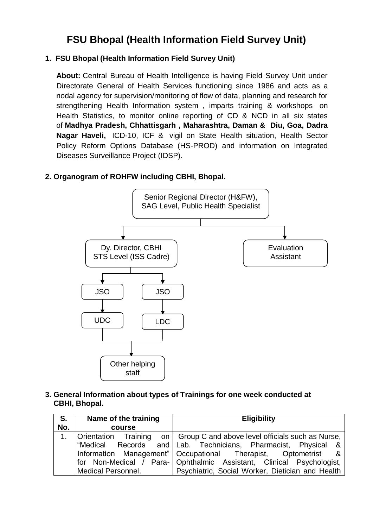# **FSU Bhopal (Health Information Field Survey Unit)**

### **1. FSU Bhopal (Health Information Field Survey Unit)**

**About:** Central Bureau of Health Intelligence is having Field Survey Unit under Directorate General of Health Services functioning since 1986 and acts as a nodal agency for supervision/monitoring of flow of data, planning and research for strengthening Health Information system , imparts training & workshops on Health Statistics, to monitor online reporting of CD & NCD in all six states of **Madhya Pradesh, Chhattisgarh , Maharashtra, Daman & Diu, Goa, Dadra Nagar Haveli,** ICD-10, ICF & vigil on State Health situation, Health Sector Policy Reform Options Database (HS-PROD) and information on Integrated Diseases Surveillance Project (IDSP).

#### **2. Organogram of ROHFW including CBHI, Bhopal.**



**3. General Information about types of Trainings for one week conducted at CBHI, Bhopal.**

| S.             | Name of the training      | <b>Eligibility</b>                                                         |
|----------------|---------------------------|----------------------------------------------------------------------------|
| No.            | course                    |                                                                            |
| 1 <sub>1</sub> |                           | Orientation Training on   Group C and above level officials such as Nurse, |
|                |                           | "Medical Records and Lab. Technicians, Pharmacist, Physical &              |
|                |                           | Information Management"   Occupational Therapist, Optometrist &            |
|                |                           | for Non-Medical / Para- Ophthalmic Assistant, Clinical Psychologist,       |
|                | <b>Medical Personnel.</b> | Psychiatric, Social Worker, Dietician and Health                           |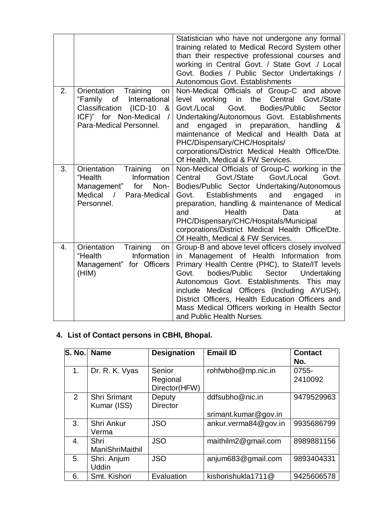|    |                                                                                                                                                                              | Statistician who have not undergone any formal<br>training related to Medical Record System other<br>than their respective professional courses and<br>working in Central Govt. / State Govt. / Local<br>Govt. Bodies / Public Sector Undertakings /<br>Autonomous Govt. Establishments                                                                                                                                               |
|----|------------------------------------------------------------------------------------------------------------------------------------------------------------------------------|---------------------------------------------------------------------------------------------------------------------------------------------------------------------------------------------------------------------------------------------------------------------------------------------------------------------------------------------------------------------------------------------------------------------------------------|
| 2. | Training<br>Orientation<br>on<br>International<br>"Family<br>$\circ$ of<br>Classification<br>$(ICD-10)$<br>&<br>ICF)" for Non-Medical<br>$\prime$<br>Para-Medical Personnel. | Non-Medical Officials of Group-C and above<br>in the<br>Central<br>working<br>Govt./State<br>level<br>Govt./Local Govt.<br>Bodies/Public<br>Sector<br>Undertaking/Autonomous Govt. Establishments<br>in<br>preparation,<br>handling<br>engaged<br>&<br>and<br>maintenance of Medical and Health Data at<br>PHC/Dispensary/CHC/Hospitals/<br>corporations/District Medical Health Office/Dte.<br>Of Health, Medical & FW Services.     |
| 3. | Training<br>Orientation<br>on<br>"Health<br>Information<br>Non-<br>Management" for<br>Medical<br>$\sqrt{ }$<br>Para-Medical<br>Personnel.                                    | Non-Medical Officials of Group-C working in the<br>Govt./State<br>Govt./Local<br>Govt.<br>Central<br>Bodies/Public Sector Undertaking/Autonomous<br>Govt.<br>Establishments<br>and<br>engaged<br>in<br>preparation, handling & maintenance of Medical<br>Health<br>and<br>Data<br>at<br>PHC/Dispensary/CHC/Hospitals/Municipal<br>corporations/District Medical Health Office/Dte.<br>Of Health, Medical & FW Services.               |
| 4. | Training<br>Orientation<br>on<br>"Health<br>Information<br>Management" for Officers<br>(HIM)                                                                                 | Group-B and above level officers closely involved<br>Management of Health Information from<br>in<br>Primary Health Centre (PHC), to State/IT levels<br>Govt.<br>bodies/Public<br>Sector<br>Undertaking<br>Autonomous Govt. Establishments. This may<br>include Medical Officers (Including AYUSH),<br>District Officers, Health Education Officers and<br>Mass Medical Officers working in Health Sector<br>and Public Health Nurses. |

# **4. List of Contact persons in CBHI, Bhopal.**

| S. No.         | <b>Name</b>                        | <b>Designation</b>                  | <b>Email ID</b>                         | <b>Contact</b><br>No. |
|----------------|------------------------------------|-------------------------------------|-----------------------------------------|-----------------------|
| 1 <sub>1</sub> | Dr. R. K. Vyas                     | Senior<br>Regional<br>Director(HFW) | rohfwbho@mp.nic.in                      | 0755-<br>2410092      |
| $\overline{2}$ | <b>Shri Srimant</b><br>Kumar (ISS) | Deputy<br><b>Director</b>           | ddfsubho@nic.in<br>srimant.kumar@gov.in | 9479529963            |
| 3.             | Shri Ankur<br>Verma                | <b>JSO</b>                          | ankur.verma84@gov.in                    | 9935686799            |
| 4.             | Shri<br>ManiShriMaithil            | <b>JSO</b>                          | maithilm2@gmail.com                     | 8989881156            |
| 5.             | Shri. Anjum<br><b>Uddin</b>        | <b>JSO</b>                          | anjum683@gmail.com                      | 9893404331            |
| 6.             | Smt. Kishori                       | Evaluation                          | kishorishukla1711@                      | 9425606578            |